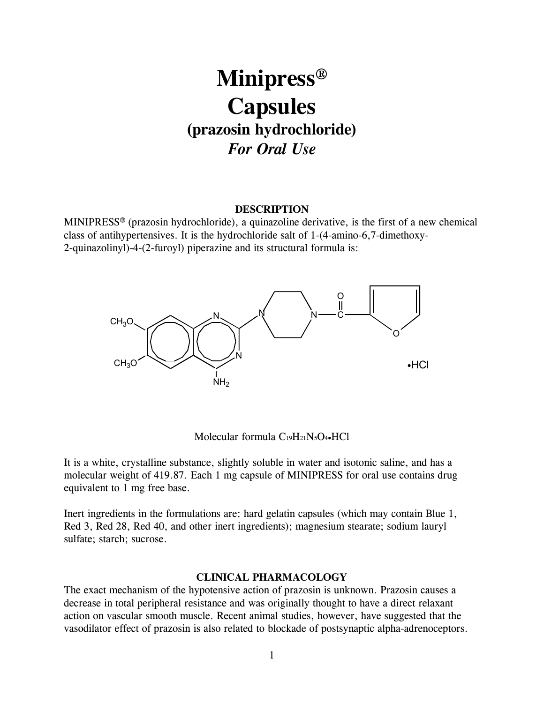# **Minipress® Capsules (prazosin hydrochloride)** *For Oral Use*

#### **DESCRIPTION**

MINIPRESS® (prazosin hydrochloride), a quinazoline derivative, is the first of a new chemical class of antihypertensives. It is the hydrochloride salt of 1-(4-amino-6,7-dimethoxy-2-quinazolinyl)-4-(2-furoyl) piperazine and its structural formula is:



Molecular formula  $C_{19}H_{21}N_5O_{4\bullet}HCl$ 

It is a white, crystalline substance, slightly soluble in water and isotonic saline, and has a molecular weight of 419.87. Each 1 mg capsule of MINIPRESS for oral use contains drug equivalent to 1 mg free base.

Inert ingredients in the formulations are: hard gelatin capsules (which may contain Blue 1, Red 3, Red 28, Red 40, and other inert ingredients); magnesium stearate; sodium lauryl sulfate; starch; sucrose.

#### **CLINICAL PHARMACOLOGY**

The exact mechanism of the hypotensive action of prazosin is unknown. Prazosin causes a decrease in total peripheral resistance and was originally thought to have a direct relaxant action on vascular smooth muscle. Recent animal studies, however, have suggested that the vasodilator effect of prazosin is also related to blockade of postsynaptic alpha-adrenoceptors.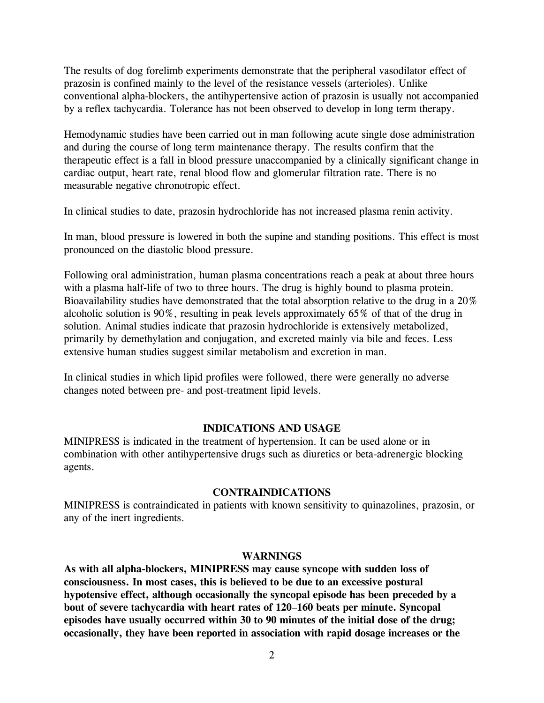The results of dog forelimb experiments demonstrate that the peripheral vasodilator effect of prazosin is confined mainly to the level of the resistance vessels (arterioles). Unlike conventional alpha-blockers, the antihypertensive action of prazosin is usually not accompanied by a reflex tachycardia. Tolerance has not been observed to develop in long term therapy.

Hemodynamic studies have been carried out in man following acute single dose administration and during the course of long term maintenance therapy. The results confirm that the therapeutic effect is a fall in blood pressure unaccompanied by a clinically significant change in cardiac output, heart rate, renal blood flow and glomerular filtration rate. There is no measurable negative chronotropic effect.

In clinical studies to date, prazosin hydrochloride has not increased plasma renin activity.

In man, blood pressure is lowered in both the supine and standing positions. This effect is most pronounced on the diastolic blood pressure.

Following oral administration, human plasma concentrations reach a peak at about three hours with a plasma half-life of two to three hours. The drug is highly bound to plasma protein. Bioavailability studies have demonstrated that the total absorption relative to the drug in a 20% alcoholic solution is 90%, resulting in peak levels approximately 65% of that of the drug in solution. Animal studies indicate that prazosin hydrochloride is extensively metabolized, primarily by demethylation and conjugation, and excreted mainly via bile and feces. Less extensive human studies suggest similar metabolism and excretion in man.

In clinical studies in which lipid profiles were followed, there were generally no adverse changes noted between pre- and post-treatment lipid levels.

# **INDICATIONS AND USAGE**

MINIPRESS is indicated in the treatment of hypertension. It can be used alone or in combination with other antihypertensive drugs such as diuretics or beta-adrenergic blocking agents.

## **CONTRAINDICATIONS**

MINIPRESS is contraindicated in patients with known sensitivity to quinazolines, prazosin, or any of the inert ingredients.

## **WARNINGS**

**As with all alpha-blockers, MINIPRESS may cause syncope with sudden loss of consciousness. In most cases, this is believed to be due to an excessive postural hypotensive effect, although occasionally the syncopal episode has been preceded by a bout of severe tachycardia with heart rates of 120–160 beats per minute. Syncopal episodes have usually occurred within 30 to 90 minutes of the initial dose of the drug; occasionally, they have been reported in association with rapid dosage increases or the**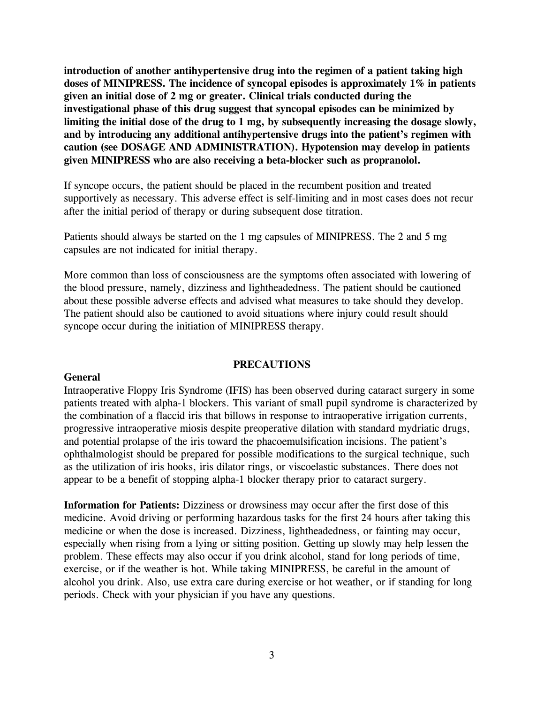**introduction of another antihypertensive drug into the regimen of a patient taking high doses of MINIPRESS. The incidence of syncopal episodes is approximately 1% in patients given an initial dose of 2 mg or greater. Clinical trials conducted during the investigational phase of this drug suggest that syncopal episodes can be minimized by limiting the initial dose of the drug to 1 mg, by subsequently increasing the dosage slowly, and by introducing any additional antihypertensive drugs into the patient's regimen with caution (see DOSAGE AND ADMINISTRATION). Hypotension may develop in patients given MINIPRESS who are also receiving a beta-blocker such as propranolol.**

If syncope occurs, the patient should be placed in the recumbent position and treated supportively as necessary. This adverse effect is self-limiting and in most cases does not recur after the initial period of therapy or during subsequent dose titration.

Patients should always be started on the 1 mg capsules of MINIPRESS. The 2 and 5 mg capsules are not indicated for initial therapy.

More common than loss of consciousness are the symptoms often associated with lowering of the blood pressure, namely, dizziness and lightheadedness. The patient should be cautioned about these possible adverse effects and advised what measures to take should they develop. The patient should also be cautioned to avoid situations where injury could result should syncope occur during the initiation of MINIPRESS therapy.

#### **PRECAUTIONS**

#### **General**

Intraoperative Floppy Iris Syndrome (IFIS) has been observed during cataract surgery in some patients treated with alpha-1 blockers. This variant of small pupil syndrome is characterized by the combination of a flaccid iris that billows in response to intraoperative irrigation currents, progressive intraoperative miosis despite preoperative dilation with standard mydriatic drugs, and potential prolapse of the iris toward the phacoemulsification incisions. The patient's ophthalmologist should be prepared for possible modifications to the surgical technique, such as the utilization of iris hooks, iris dilator rings, or viscoelastic substances. There does not appear to be a benefit of stopping alpha-1 blocker therapy prior to cataract surgery.

**Information for Patients:** Dizziness or drowsiness may occur after the first dose of this medicine. Avoid driving or performing hazardous tasks for the first 24 hours after taking this medicine or when the dose is increased. Dizziness, lightheadedness, or fainting may occur, especially when rising from a lying or sitting position. Getting up slowly may help lessen the problem. These effects may also occur if you drink alcohol, stand for long periods of time, exercise, or if the weather is hot. While taking MINIPRESS, be careful in the amount of alcohol you drink. Also, use extra care during exercise or hot weather, or if standing for long periods. Check with your physician if you have any questions.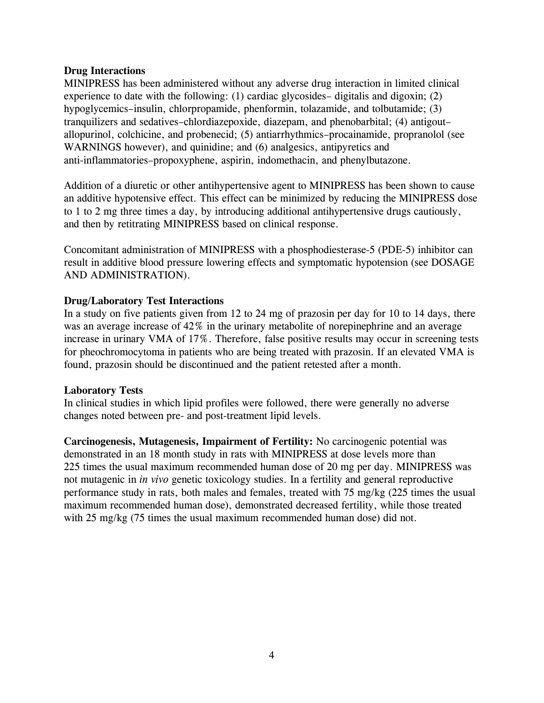## **Drug Interactions**

MINIPRESS has been administered without any adverse drug interaction in limited clinical experience to date with the following: (1) cardiac glycosides– digitalis and digoxin; (2) hypoglycemics–insulin, chlorpropamide, phenformin, tolazamide, and tolbutamide; (3) tranquilizers and sedatives–chlordiazepoxide, diazepam, and phenobarbital; (4) antigout– allopurinol, colchicine, and probenecid; (5) antiarrhythmics–procainamide, propranolol (see WARNINGS however), and quinidine; and (6) analgesics, antipyretics and anti-inflammatories–propoxyphene, aspirin, indomethacin, and phenylbutazone.

Addition of a diuretic or other antihypertensive agent to MINIPRESS has been shown to cause an additive hypotensive effect. This effect can be minimized by reducing the MINIPRESS dose to 1 to 2 mg three times a day, by introducing additional antihypertensive drugs cautiously, and then by retitrating MINIPRESS based on clinical response.

Concomitant administration of MINIPRESS with a phosphodiesterase-5 (PDE-5) inhibitor can result in additive blood pressure lowering effects and symptomatic hypotension (see DOSAGE AND ADMINISTRATION).

# **Drug/Laboratory Test Interactions**

In a study on five patients given from 12 to 24 mg of prazosin per day for 10 to 14 days, there was an average increase of 42% in the urinary metabolite of norepinephrine and an average increase in urinary VMA of 17%. Therefore, false positive results may occur in screening tests for pheochromocytoma in patients who are being treated with prazosin. If an elevated VMA is found, prazosin should be discontinued and the patient retested after a month.

## **Laboratory Tests**

In clinical studies in which lipid profiles were followed, there were generally no adverse changes noted between pre- and post-treatment lipid levels.

**Carcinogenesis, Mutagenesis, Impairment of Fertility:** No carcinogenic potential was demonstrated in an 18 month study in rats with MINIPRESS at dose levels more than 225 times the usual maximum recommended human dose of 20 mg per day. MINIPRESS was not mutagenic in *in vivo* genetic toxicology studies. In a fertility and general reproductive performance study in rats, both males and females, treated with 75 mg/kg (225 times the usual maximum recommended human dose), demonstrated decreased fertility, while those treated with 25 mg/kg (75 times the usual maximum recommended human dose) did not.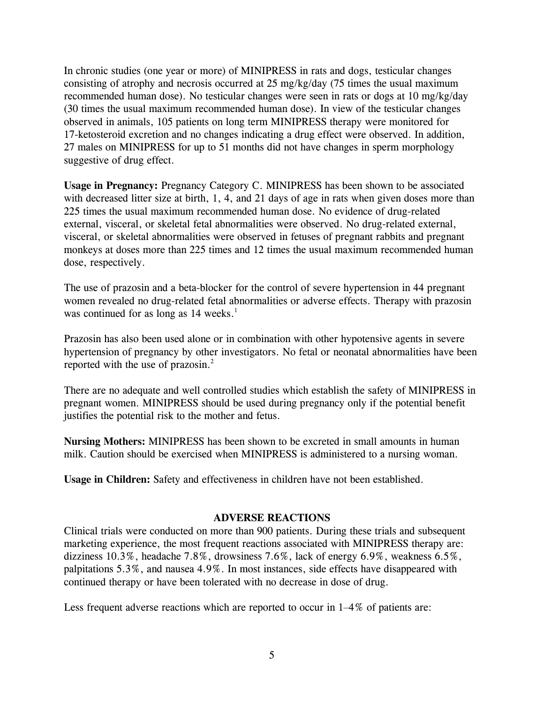In chronic studies (one year or more) of MINIPRESS in rats and dogs, testicular changes consisting of atrophy and necrosis occurred at 25 mg/kg/day (75 times the usual maximum recommended human dose). No testicular changes were seen in rats or dogs at 10 mg/kg/day (30 times the usual maximum recommended human dose). In view of the testicular changes observed in animals, 105 patients on long term MINIPRESS therapy were monitored for 17-ketosteroid excretion and no changes indicating a drug effect were observed. In addition, 27 males on MINIPRESS for up to 51 months did not have changes in sperm morphology suggestive of drug effect.

**Usage in Pregnancy:** Pregnancy Category C. MINIPRESS has been shown to be associated with decreased litter size at birth, 1, 4, and 21 days of age in rats when given doses more than 225 times the usual maximum recommended human dose. No evidence of drug-related external, visceral, or skeletal fetal abnormalities were observed. No drug-related external, visceral, or skeletal abnormalities were observed in fetuses of pregnant rabbits and pregnant monkeys at doses more than 225 times and 12 times the usual maximum recommended human dose, respectively.

The use of prazosin and a beta-blocker for the control of severe hypertension in 44 pregnant women revealed no drug-related fetal abnormalities or adverse effects. Therapy with prazosin was continued for as long as  $14$  weeks.<sup>1</sup>

Prazosin has also been used alone or in combination with other hypotensive agents in severe hypertension of pregnancy by other investigators. No fetal or neonatal abnormalities have been reported with the use of prazosin.<sup>2</sup>

There are no adequate and well controlled studies which establish the safety of MINIPRESS in pregnant women. MINIPRESS should be used during pregnancy only if the potential benefit justifies the potential risk to the mother and fetus.

**Nursing Mothers:** MINIPRESS has been shown to be excreted in small amounts in human milk. Caution should be exercised when MINIPRESS is administered to a nursing woman.

**Usage in Children:** Safety and effectiveness in children have not been established.

## **ADVERSE REACTIONS**

Clinical trials were conducted on more than 900 patients. During these trials and subsequent marketing experience, the most frequent reactions associated with MINIPRESS therapy are: dizziness 10.3%, headache 7.8%, drowsiness 7.6%, lack of energy 6.9%, weakness 6.5%, palpitations 5.3%, and nausea 4.9%. In most instances, side effects have disappeared with continued therapy or have been tolerated with no decrease in dose of drug.

Less frequent adverse reactions which are reported to occur in  $1-4\%$  of patients are: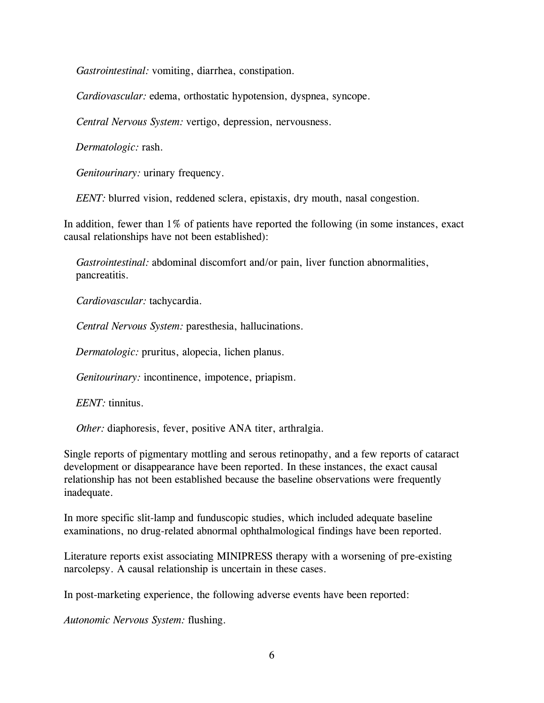*Gastrointestinal:* vomiting, diarrhea, constipation.

*Cardiovascular:* edema, orthostatic hypotension, dyspnea, syncope.

*Central Nervous System:* vertigo, depression, nervousness.

*Dermatologic:* rash.

*Genitourinary:* urinary frequency.

*EENT*: blurred vision, reddened sclera, epistaxis, dry mouth, nasal congestion.

In addition, fewer than 1% of patients have reported the following (in some instances, exact causal relationships have not been established):

*Gastrointestinal:* abdominal discomfort and/or pain, liver function abnormalities, pancreatitis.

*Cardiovascular:* tachycardia.

*Central Nervous System:* paresthesia, hallucinations.

*Dermatologic:* pruritus, alopecia, lichen planus.

*Genitourinary:* incontinence, impotence, priapism.

*EENT:* tinnitus.

*Other:* diaphoresis, fever, positive ANA titer, arthralgia.

Single reports of pigmentary mottling and serous retinopathy, and a few reports of cataract development or disappearance have been reported. In these instances, the exact causal relationship has not been established because the baseline observations were frequently inadequate.

In more specific slit-lamp and funduscopic studies, which included adequate baseline examinations, no drug-related abnormal ophthalmological findings have been reported.

Literature reports exist associating MINIPRESS therapy with a worsening of pre-existing narcolepsy. A causal relationship is uncertain in these cases.

In post-marketing experience, the following adverse events have been reported:

*Autonomic Nervous System:* flushing.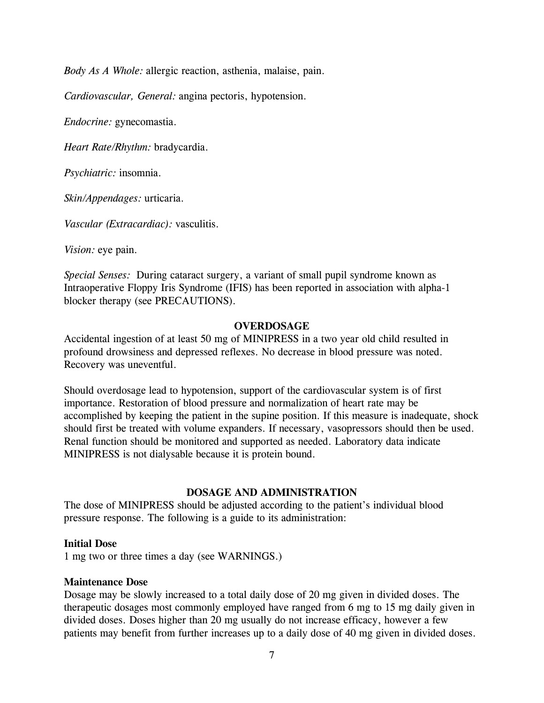*Body As A Whole:* allergic reaction, asthenia, malaise, pain.

*Cardiovascular, General:* angina pectoris, hypotension.

*Endocrine:* gynecomastia.

*Heart Rate/Rhythm:* bradycardia.

*Psychiatric:* insomnia.

*Skin/Appendages:* urticaria.

*Vascular (Extracardiac):* vasculitis.

*Vision:* eye pain.

*Special Senses:* During cataract surgery, a variant of small pupil syndrome known as Intraoperative Floppy Iris Syndrome (IFIS) has been reported in association with alpha-1 blocker therapy (see PRECAUTIONS).

## **OVERDOSAGE**

Accidental ingestion of at least 50 mg of MINIPRESS in a two year old child resulted in profound drowsiness and depressed reflexes. No decrease in blood pressure was noted. Recovery was uneventful.

Should overdosage lead to hypotension, support of the cardiovascular system is of first importance. Restoration of blood pressure and normalization of heart rate may be accomplished by keeping the patient in the supine position. If this measure is inadequate, shock should first be treated with volume expanders. If necessary, vasopressors should then be used. Renal function should be monitored and supported as needed. Laboratory data indicate MINIPRESS is not dialysable because it is protein bound.

# **DOSAGE AND ADMINISTRATION**

The dose of MINIPRESS should be adjusted according to the patient's individual blood pressure response. The following is a guide to its administration:

## **Initial Dose**

1 mg two or three times a day (see WARNINGS.)

## **Maintenance Dose**

Dosage may be slowly increased to a total daily dose of 20 mg given in divided doses. The therapeutic dosages most commonly employed have ranged from 6 mg to 15 mg daily given in divided doses. Doses higher than 20 mg usually do not increase efficacy, however a few patients may benefit from further increases up to a daily dose of 40 mg given in divided doses.